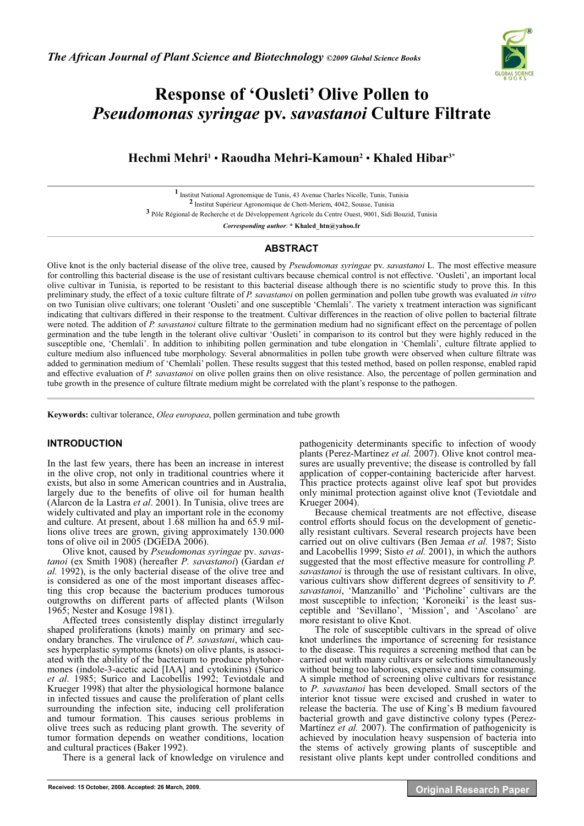

# **Response of 'Ousleti' Olive Pollen to**  *Pseudomonas syringae* **pv.** *savastanoi* **Culture Filtrate**

**Hechmi Mehri1** • **Raoudha Mehri-Kamoun2** • **Khaled Hibar3\***

**1** Institut National Agronomique de Tunis, 43 Avenue Charles Nicolle, Tunis, Tunisia **2** Institut Supérieur Agronomique de Chott-Meriem, 4042, Sousse, Tunisia **3** Pôle Régional de Recherche et de Développement Agricole du Centre Ouest, 9001, Sidi Bouzid, Tunisia

*Corresponding author*: **\* Khaled\_htn@yahoo.fr** 

## **ABSTRACT**

Olive knot is the only bacterial disease of the olive tree, caused by *Pseudomonas syringae* pv. *savastanoi* L. The most effective measure for controlling this bacterial disease is the use of resistant cultivars because chemical control is not effective. 'Ousleti', an important local olive cultivar in Tunisia, is reported to be resistant to this bacterial disease although there is no scientific study to prove this. In this preliminary study, the effect of a toxic culture filtrate of *P. savastanoi* on pollen germination and pollen tube growth was evaluated *in vitro* on two Tunisian olive cultivars; one tolerant 'Ousleti' and one susceptible 'Chemlali'. The variety x treatment interaction was significant indicating that cultivars differed in their response to the treatment. Cultivar differences in the reaction of olive pollen to bacterial filtrate were noted. The addition of *P. savastanoi* culture filtrate to the germination medium had no significant effect on the percentage of pollen germination and the tube length in the tolerant olive cultivar 'Ousleti' in comparison to its control but they were highly reduced in the susceptible one, 'Chemlali'. In addition to inhibiting pollen germination and tube elongation in 'Chemlali', culture filtrate applied to culture medium also influenced tube morphology. Several abnormalities in pollen tube growth were observed when culture filtrate was added to germination medium of 'Chemlali' pollen. These results suggest that this tested method, based on pollen response, enabled rapid and effective evaluation of *P. savastanoi* on olive pollen grains then on olive resistance. Also, the percentage of pollen germination and tube growth in the presence of culture filtrate medium might be correlated with the plant's response to the pathogen.  $\mathcal{L}$  , and the state of the state of the state of the state of the state of the state of the state of the state of the state of the state of the state of the state of the state of the state of the state of the state o

**Keywords:** cultivar tolerance, *Olea europaea*, pollen germination and tube growth

# **INTRODUCTION**

In the last few years, there has been an increase in interest in the olive crop, not only in traditional countries where it exists, but also in some American countries and in Australia, largely due to the benefits of olive oil for human health (Alarcon de la Lastra *et al*. 2001). In Tunisia, olive trees are widely cultivated and play an important role in the economy and culture. At present, about 1.68 million ha and 65.9 millions olive trees are grown, giving approximately 130.000 tons of olive oil in 2005 (DGEDA 2006).

Olive knot, caused by *Pseudomonas syringae* pv. *savastanoi* (ex Smith 1908) (hereafter *P. savastanoi*) (Gardan *et al.* 1992), is the only bacterial disease of the olive tree and is considered as one of the most important diseases affecting this crop because the bacterium produces tumorous outgrowths on different parts of affected plants (Wilson 1965; Nester and Kosuge 1981).

Affected trees consistently display distinct irregularly shaped proliferations (knots) mainly on primary and secondary branches. The virulence of *P. savastani*, which causes hyperplastic symptoms (knots) on olive plants, is associated with the ability of the bacterium to produce phytohormones (indole-3-acetic acid [IAA] and cytokinins) (Surico *et al*. 1985; Surico and Lacobellis 1992; Teviotdale and Krueger 1998) that alter the physiological hormone balance in infected tissues and cause the proliferation of plant cells surrounding the infection site, inducing cell proliferation and tumour formation. This causes serious problems in olive trees such as reducing plant growth. The severity of tumor formation depends on weather conditions, location and cultural practices (Baker 1992).

There is a general lack of knowledge on virulence and

pathogenicity determinants specific to infection of woody plants (Perez-Martínez *et al.* 2007). Olive knot control measures are usually preventive; the disease is controlled by fall application of copper-containing bactericide after harvest. This practice protects against olive leaf spot but provides only minimal protection against olive knot (Teviotdale and Krueger 2004).

Because chemical treatments are not effective, disease control efforts should focus on the development of genetically resistant cultivars. Several research projects have been carried out on olive cultivars (Ben Jemaa *et al.* 1987; Sisto and Lacobellis 1999; Sisto *et al.* 2001), in which the authors suggested that the most effective measure for controlling *P. savastanoi* is through the use of resistant cultivars. In olive, various cultivars show different degrees of sensitivity to *P. savastanoi*, 'Manzanillo' and 'Picholine' cultivars are the most susceptible to infection; 'Koroneiki' is the least susceptible and 'Sevillano', 'Mission', and 'Ascolano' are more resistant to olive Knot.

The role of susceptible cultivars in the spread of olive knot underlines the importance of screening for resistance to the disease. This requires a screening method that can be carried out with many cultivars or selections simultaneously without being too laborious, expensive and time consuming. A simple method of screening olive cultivars for resistance to *P. savastanoi* has been developed. Small sectors of the interior knot tissue were excised and crushed in water to release the bacteria. The use of King's B medium favoured bacterial growth and gave distinctive colony types (Perez-Martínez *et al.* 2007). The confirmation of pathogenicity is achieved by inoculation heavy suspension of bacteria into the stems of actively growing plants of susceptible and resistant olive plants kept under controlled conditions and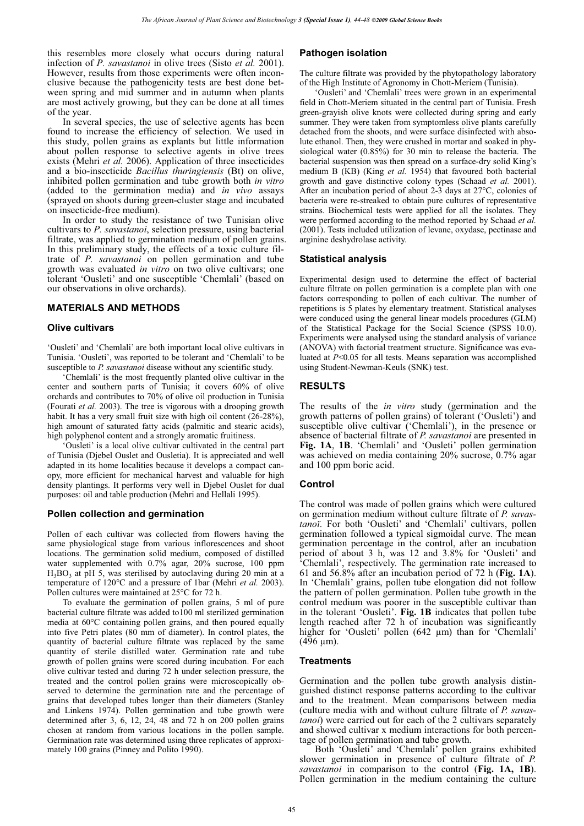this resembles more closely what occurs during natural infection of *P. savastanoi* in olive trees (Sisto *et al.* 2001). However, results from those experiments were often inconclusive because the pathogenicity tests are best done between spring and mid summer and in autumn when plants are most actively growing, but they can be done at all times of the year.

In several species, the use of selective agents has been found to increase the efficiency of selection. We used in this study, pollen grains as explants but little information about pollen response to selective agents in olive trees exists (Mehri *et al.* 2006). Application of three insecticides and a bio-insecticide *Bacillus thuringiensis* (Bt) on olive, inhibited pollen germination and tube growth both *in vitro* (added to the germination media) and *in vivo* assays (sprayed on shoots during green-cluster stage and incubated on insecticide-free medium).

In order to study the resistance of two Tunisian olive cultivars to *P. savastanoi*, selection pressure, using bacterial filtrate, was applied to germination medium of pollen grains. In this preliminary study, the effects of a toxic culture filtrate of *P. savastanoi* on pollen germination and tube growth was evaluated *in vitro* on two olive cultivars; one tolerant 'Ousleti' and one susceptible 'Chemlali' (based on our observations in olive orchards).

#### **MATERIALS AND METHODS**

#### **Olive cultivars**

'Ousleti' and 'Chemlali' are both important local olive cultivars in Tunisia. 'Ousleti', was reported to be tolerant and 'Chemlali' to be susceptible to *P. savastanoi* disease without any scientific study.

'Chemlali' is the most frequently planted olive cultivar in the center and southern parts of Tunisia; it covers 60% of olive orchards and contributes to 70% of olive oil production in Tunisia (Fourati *et al.* 2003). The tree is vigorous with a drooping growth habit. It has a very small fruit size with high oil content (26-28%), high amount of saturated fatty acids (palmitic and stearic acids), high polyphenol content and a strongly aromatic fruitiness.

'Ousleti' is a local olive cultivar cultivated in the central part of Tunisia (Djebel Ouslet and Ousletia). It is appreciated and well adapted in its home localities because it develops a compact canopy, more efficient for mechanical harvest and valuable for high density plantings. It performs very well in Djebel Ouslet for dual purposes: oil and table production (Mehri and Hellali 1995).

#### **Pollen collection and germination**

Pollen of each cultivar was collected from flowers having the same physiological stage from various inflorescences and shoot locations. The germination solid medium, composed of distilled water supplemented with 0.7% agar, 20% sucrose, 100 ppm  $H_3BO_3$  at pH 5, was sterilised by autoclaving during 20 min at a temperature of 120°C and a pressure of 1bar (Mehri *et al.* 2003). Pollen cultures were maintained at 25°C for 72 h.

To evaluate the germination of pollen grains, 5 ml of pure bacterial culture filtrate was added to100 ml sterilized germination media at 60°C containing pollen grains, and then poured equally into five Petri plates (80 mm of diameter). In control plates, the quantity of bacterial culture filtrate was replaced by the same quantity of sterile distilled water. Germination rate and tube growth of pollen grains were scored during incubation. For each olive cultivar tested and during 72 h under selection pressure, the treated and the control pollen grains were microscopically observed to determine the germination rate and the percentage of grains that developed tubes longer than their diameters (Stanley and Linkens 1974). Pollen germination and tube growth were determined after 3, 6, 12, 24, 48 and 72 h on 200 pollen grains chosen at random from various locations in the pollen sample. Germination rate was determined using three replicates of approximately 100 grains (Pinney and Polito 1990).

#### **Pathogen isolation**

The culture filtrate was provided by the phytopathology laboratory of the High Institute of Agronomy in Chott-Meriem (Tunisia).

'Ousleti' and 'Chemlali' trees were grown in an experimental field in Chott-Meriem situated in the central part of Tunisia. Fresh green-grayish olive knots were collected during spring and early summer. They were taken from symptomless olive plants carefully detached from the shoots, and were surface disinfected with absolute ethanol. Then, they were crushed in mortar and soaked in physiological water (0.85%) for 30 min to release the bacteria. The bacterial suspension was then spread on a surface-dry solid King's medium B (KB) (King *et al.* 1954) that favoured both bacterial growth and gave distinctive colony types (Schaad *et al.* 2001). After an incubation period of about 2-3 days at 27°C, colonies of bacteria were re-streaked to obtain pure cultures of representative strains. Biochemical tests were applied for all the isolates. They were performed according to the method reported by Schaad *et al.* (2001). Tests included utilization of levane, oxydase, pectinase and arginine deshydrolase activity.

#### **Statistical analysis**

Experimental design used to determine the effect of bacterial culture filtrate on pollen germination is a complete plan with one factors corresponding to pollen of each cultivar. The number of repetitions is 5 plates by elementary treatment. Statistical analyses were conduced using the general linear models procedures (GLM) of the Statistical Package for the Social Science (SPSS 10.0). Experiments were analysed using the standard analysis of variance (ANOVA) with factorial treatment structure. Significance was evaluated at *P*<0.05 for all tests. Means separation was accomplished using Student-Newman-Keuls (SNK) test.

#### **RESULTS**

The results of the *in vitro* study (germination and the growth patterns of pollen grains) of tolerant ('Ousleti') and susceptible olive cultivar ('Chemlali'), in the presence or absence of bacterial filtrate of *P. savastanoi* are presented in **Fig. 1A**, **1B**. 'Chemlali' and 'Ousleti' pollen germination was achieved on media containing 20% sucrose, 0.7% agar and 100 ppm boric acid.

#### **Control**

The control was made of pollen grains which were cultured on germination medium without culture filtrate of *P. savastanoï*. For both 'Ousleti' and 'Chemlali' cultivars, pollen germination followed a typical sigmoidal curve. The mean germination percentage in the control, after an incubation period of about 3 h, was 12 and 3.8% for 'Ousleti' and 'Chemlali', respectively. The germination rate increased to 61 and 56.8% after an incubation period of 72 h (**Fig. 1A**). In 'Chemlali' grains, pollen tube elongation did not follow the pattern of pollen germination. Pollen tube growth in the control medium was poorer in the susceptible cultivar than in the tolerant 'Ousleti'. **Fig. 1B** indicates that pollen tube length reached after 72 h of incubation was significantly higher for 'Ousleti' pollen (642 μm) than for 'Chemlali'  $(496 \mu m)$ .

#### **Treatments**

Germination and the pollen tube growth analysis distinguished distinct response patterns according to the cultivar and to the treatment. Mean comparisons between media (culture media with and without culture filtrate of *P. savastanoi*) were carried out for each of the 2 cultivars separately and showed cultivar x medium interactions for both percentage of pollen germination and tube growth.

Both 'Ousleti' and 'Chemlali' pollen grains exhibited slower germination in presence of culture filtrate of *P. savastanoi* in comparison to the control (**Fig. 1A, 1B**). Pollen germination in the medium containing the culture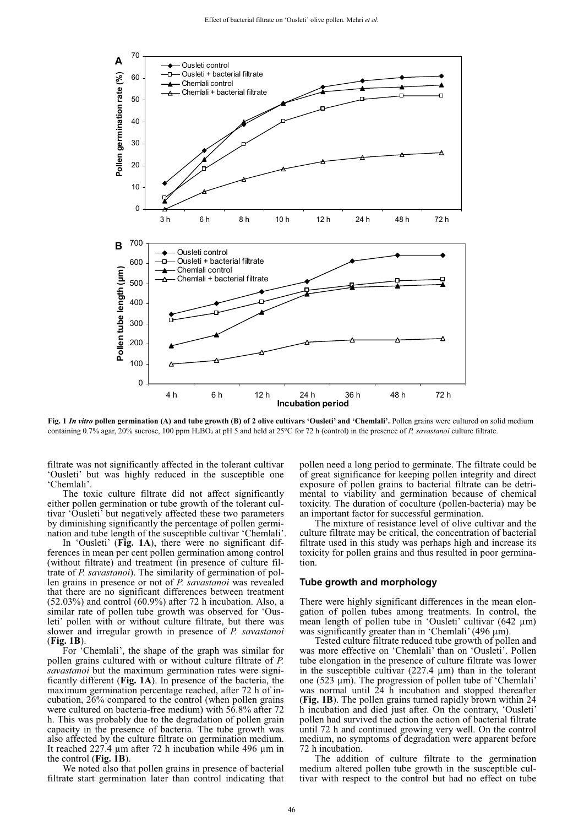

**Fig. 1** *In vitro* **pollen germination (A) and tube growth (B) of 2 olive cultivars 'Ousleti' and 'Chemlali'.** Pollen grains were cultured on solid medium containing 0.7% agar, 20% sucrose, 100 ppm H<sub>3</sub>BO<sub>3</sub> at pH 5 and held at 25°C for 72 h (control) in the presence of *P. savastanoi* culture filtrate.

filtrate was not significantly affected in the tolerant cultivar 'Ousleti' but was highly reduced in the susceptible one 'Chemlali'.

The toxic culture filtrate did not affect significantly either pollen germination or tube growth of the tolerant cultivar 'Ousleti' but negatively affected these two parameters by diminishing significantly the percentage of pollen germination and tube length of the susceptible cultivar 'Chemlali'.

In 'Ousleti' (**Fig. 1A**), there were no significant differences in mean per cent pollen germination among control (without filtrate) and treatment (in presence of culture filtrate of *P. savastanoi*). The similarity of germination of pollen grains in presence or not of *P. savastanoi* was revealed that there are no significant differences between treatment (52.03%) and control (60.9%) after 72 h incubation. Also, a similar rate of pollen tube growth was observed for 'Ousleti' pollen with or without culture filtrate, but there was slower and irregular growth in presence of *P. savastanoi*  (**Fig. 1B**).

For 'Chemlali', the shape of the graph was similar for pollen grains cultured with or without culture filtrate of *P. savastanoi* but the maximum germination rates were significantly different (**Fig. 1A**). In presence of the bacteria, the maximum germination percentage reached, after 72 h of incubation, 26% compared to the control (when pollen grains were cultured on bacteria-free medium) with 56.8% after 72 h. This was probably due to the degradation of pollen grain capacity in the presence of bacteria. The tube growth was also affected by the culture filtrate on germination medium. It reached 227.4 μm after 72 h incubation while 496 μm in the control (**Fig. 1B**).

We noted also that pollen grains in presence of bacterial filtrate start germination later than control indicating that pollen need a long period to germinate. The filtrate could be of great significance for keeping pollen integrity and direct exposure of pollen grains to bacterial filtrate can be detrimental to viability and germination because of chemical toxicity. The duration of coculture (pollen-bacteria) may be an important factor for successful germination.

The mixture of resistance level of olive cultivar and the culture filtrate may be critical, the concentration of bacterial filtrate used in this study was perhaps high and increase its toxicity for pollen grains and thus resulted in poor germination.

#### **Tube growth and morphology**

There were highly significant differences in the mean elongation of pollen tubes among treatments. In control, the mean length of pollen tube in 'Ousleti' cultivar (642 μm) was significantly greater than in 'Chemlali' (496 μm).

Tested culture filtrate reduced tube growth of pollen and was more effective on 'Chemlali' than on 'Ousleti'. Pollen tube elongation in the presence of culture filtrate was lower in the susceptible cultivar  $(227.4 \mu m)$  than in the tolerant one (523 μm). The progression of pollen tube of 'Chemlali' was normal until 24 h incubation and stopped thereafter (**Fig. 1B**). The pollen grains turned rapidly brown within 24 h incubation and died just after. On the contrary, 'Ousleti' pollen had survived the action the action of bacterial filtrate until 72 h and continued growing very well. On the control medium, no symptoms of degradation were apparent before 72 h incubation.

The addition of culture filtrate to the germination medium altered pollen tube growth in the susceptible cultivar with respect to the control but had no effect on tube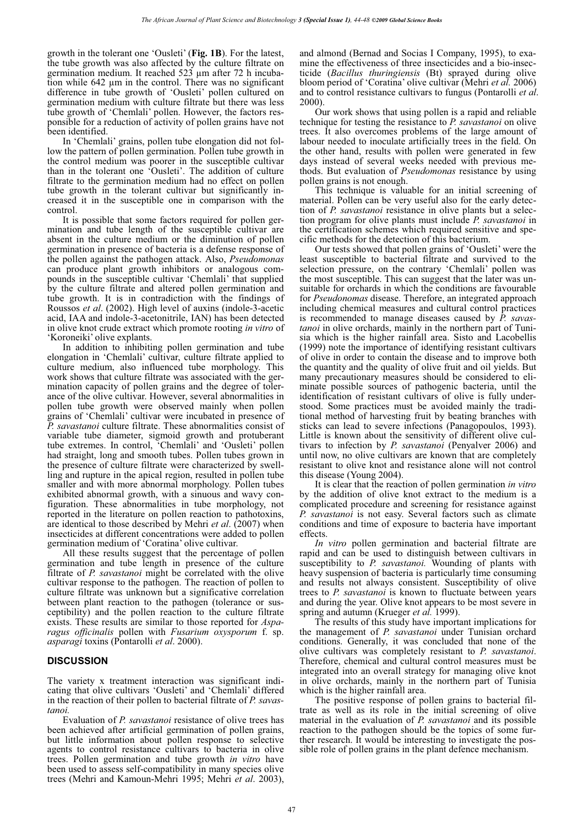growth in the tolerant one 'Ousleti' (**Fig. 1B**). For the latest, the tube growth was also affected by the culture filtrate on germination medium. It reached 523 μm after 72 h incubation while 642 μm in the control. There was no significant difference in tube growth of 'Ousleti' pollen cultured on germination medium with culture filtrate but there was less tube growth of 'Chemlali' pollen. However, the factors responsible for a reduction of activity of pollen grains have not been identified.

In 'Chemlali' grains, pollen tube elongation did not follow the pattern of pollen germination. Pollen tube growth in the control medium was poorer in the susceptible cultivar than in the tolerant one 'Ousleti'. The addition of culture filtrate to the germination medium had no effect on pollen tube growth in the tolerant cultivar but significantly increased it in the susceptible one in comparison with the control.

It is possible that some factors required for pollen germination and tube length of the susceptible cultivar are absent in the culture medium or the diminution of pollen germination in presence of bacteria is a defense response of the pollen against the pathogen attack. Also, *Pseudomonas* can produce plant growth inhibitors or analogous compounds in the susceptible cultivar 'Chemlali' that supplied by the culture filtrate and altered pollen germination and tube growth. It is in contradiction with the findings of Roussos *et al*. (2002). High level of auxins (indole-3-acetic acid, IAA and indole-3-acetonitrile, IAN) has been detected in olive knot crude extract which promote rooting *in vitro* of 'Koroneiki' olive explants.

In addition to inhibiting pollen germination and tube elongation in 'Chemlali' cultivar, culture filtrate applied to culture medium, also influenced tube morphology. This work shows that culture filtrate was associated with the germination capacity of pollen grains and the degree of tolerance of the olive cultivar. However, several abnormalities in pollen tube growth were observed mainly when pollen grains of 'Chemlali' cultivar were incubated in presence of *P. savastanoi* culture filtrate. These abnormalities consist of variable tube diameter, sigmoid growth and protuberant tube extremes. In control, 'Chemlali' and 'Ousleti' pollen had straight, long and smooth tubes. Pollen tubes grown in the presence of culture filtrate were characterized by swellling and rupture in the apical region, resulted in pollen tube smaller and with more abnormal morphology*.* Pollen tubes exhibited abnormal growth, with a sinuous and wavy configuration. These abnormalities in tube morphology, not reported in the literature on pollen reaction to pathotoxins, are identical to those described by Mehri *et al*. (2007) when insecticides at different concentrations were added to pollen germination medium of 'Coratina' olive cultivar.

All these results suggest that the percentage of pollen germination and tube length in presence of the culture filtrate of *P. savastanoi* might be correlated with the olive cultivar response to the pathogen. The reaction of pollen to culture filtrate was unknown but a significative correlation between plant reaction to the pathogen (tolerance or susceptibility) and the pollen reaction to the culture filtrate exists. These results are similar to those reported for *Asparagus officinalis* pollen with *Fusarium oxysporum* f. sp. *asparagi* toxins (Pontarolli *et al*. 2000).

## **DISCUSSION**

The variety x treatment interaction was significant indicating that olive cultivars 'Ousleti' and 'Chemlali' differed in the reaction of their pollen to bacterial filtrate of *P. savastanoi.*

Evaluation of *P. savastanoi* resistance of olive trees has been achieved after artificial germination of pollen grains, but little information about pollen response to selective agents to control resistance cultivars to bacteria in olive trees. Pollen germination and tube growth *in vitro* have been used to assess self-compatibility in many species olive trees (Mehri and Kamoun-Mehri 1995; Mehri *et al*. 2003),

and almond (Bernad and Socias I Company, 1995), to examine the effectiveness of three insecticides and a bio-insecticide (*Bacillus thuringiensis* (Bt) sprayed during olive bloom period of 'Coratina' olive cultivar (Mehri *et al.* 2006) and to control resistance cultivars to fungus (Pontarolli *et al*. 2000).

Our work shows that using pollen is a rapid and reliable technique for testing the resistance to *P. savastanoi* on olive trees. It also overcomes problems of the large amount of labour needed to inoculate artificially trees in the field. On the other hand, results with pollen were generated in few days instead of several weeks needed with previous methods. But evaluation of *Pseudomonas* resistance by using pollen grains is not enough.

This technique is valuable for an initial screening of material. Pollen can be very useful also for the early detection of *P. savastanoi* resistance in olive plants but a selection program for olive plants must include *P. savastanoi* in the certification schemes which required sensitive and specific methods for the detection of this bacterium.

Our tests showed that pollen grains of 'Ousleti' were the least susceptible to bacterial filtrate and survived to the selection pressure, on the contrary 'Chemlali' pollen was the most susceptible. This can suggest that the later was unsuitable for orchards in which the conditions are favourable for *Pseudonomas* disease. Therefore, an integrated approach including chemical measures and cultural control practices is recommended to manage diseases caused by *P. savastanoi* in olive orchards, mainly in the northern part of Tunisia which is the higher rainfall area. Sisto and Lacobellis (1999) note the importance of identifying resistant cultivars of olive in order to contain the disease and to improve both the quantity and the quality of olive fruit and oil yields. But many precautionary measures should be considered to eliminate possible sources of pathogenic bacteria, until the identification of resistant cultivars of olive is fully understood. Some practices must be avoided mainly the traditional method of harvesting fruit by beating branches with sticks can lead to severe infections (Panagopoulos, 1993). Little is known about the sensitivity of different olive cultivars to infection by *P. savastanoi* (Penyalver 2006) and until now, no olive cultivars are known that are completely resistant to olive knot and resistance alone will not control this disease (Young 2004).

It is clear that the reaction of pollen germination *in vitro* by the addition of olive knot extract to the medium is a complicated procedure and screening for resistance against *P. savastanoi* is not easy. Several factors such as climate conditions and time of exposure to bacteria have important effects.

*In vitro* pollen germination and bacterial filtrate are rapid and can be used to distinguish between cultivars in susceptibility to *P. savastanoi.* Wounding of plants with heavy suspension of bacteria is particularly time consuming and results not always consistent. Susceptibility of olive trees to *P. savastanoi* is known to fluctuate between years and during the year. Olive knot appears to be most severe in spring and autumn (Krueger *et al.* 1999).

The results of this study have important implications for the management of *P. savastanoi* under Tunisian orchard conditions. Generally, it was concluded that none of the olive cultivars was completely resistant to *P. savastanoi*. Therefore, chemical and cultural control measures must be integrated into an overall strategy for managing olive knot in olive orchards, mainly in the northern part of Tunisia which is the higher rainfall area.

The positive response of pollen grains to bacterial filtrate as well as its role in the initial screening of olive material in the evaluation of *P. savastanoi* and its possible reaction to the pathogen should be the topics of some further research. It would be interesting to investigate the possible role of pollen grains in the plant defence mechanism.